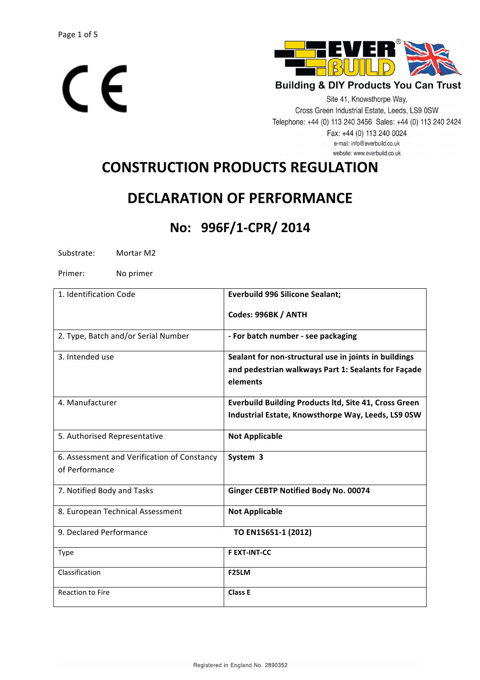



Site 41, Knowsthorpe Way, Cross Green Industrial Estate, Leeds, LS9 0SW Telephone: +44 (0) 113 240 3456 Sales: +44 (0) 113 240 2424 Fax: +44 (0) 113 240 0024 e-mail: info@everbuild.co.uk website: www.everbuild.co.uk

# **CONSTRUCTION PRODUCTS REGULATION**

# **DECLARATION OF PERFORMANCE**

# **No: 996F/1-CPR/ 2014**

Substrate: Mortar M2

Primer: No primer

| 1. Identification Code                      | <b>Everbuild 996 Silicone Sealant;</b>                |
|---------------------------------------------|-------------------------------------------------------|
|                                             | Codes: 996BK / ANTH                                   |
| 2. Type, Batch and/or Serial Number         | - For batch number - see packaging                    |
| 3. Intended use                             | Sealant for non-structural use in joints in buildings |
|                                             | and pedestrian walkways Part 1: Sealants for Façade   |
|                                             | elements                                              |
| 4. Manufacturer                             | Everbuild Building Products ltd, Site 41, Cross Green |
|                                             | Industrial Estate, Knowsthorpe Way, Leeds, LS9 0SW    |
| 5. Authorised Representative                | <b>Not Applicable</b>                                 |
| 6. Assessment and Verification of Constancy | System 3                                              |
| of Performance                              |                                                       |
| 7. Notified Body and Tasks                  | Ginger CEBTP Notified Body No. 00074                  |
| 8. European Technical Assessment            | <b>Not Applicable</b>                                 |
| 9. Declared Performance                     | TO EN15651-1 (2012)                                   |
| Type                                        | <b>F EXT-INT-CC</b>                                   |
| Classification                              | F <sub>25</sub> LM                                    |
| <b>Reaction to Fire</b>                     | Class E                                               |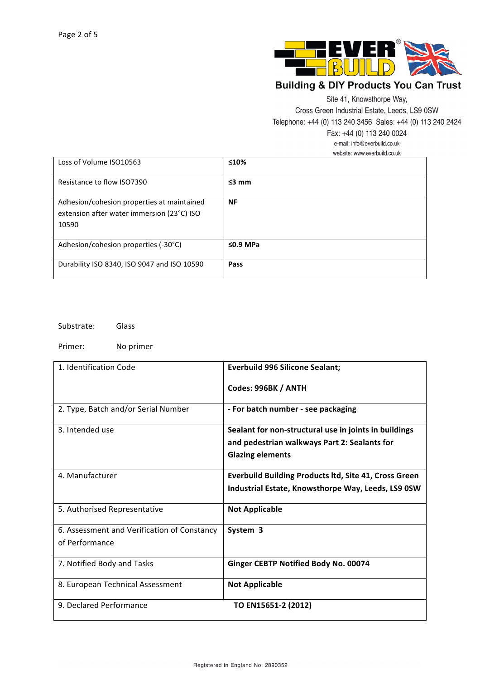

Site 41, Knowsthorpe Way,

Cross Green Industrial Estate, Leeds, LS9 0SW

Telephone: +44 (0) 113 240 3456 Sales: +44 (0) 113 240 2424

Fax: +44 (0) 113 240 0024

e-mail: info@everbuild.co.uk

|  | website: www.everbuild.co.uk |  |
|--|------------------------------|--|
|  |                              |  |

| Loss of Volume ISO10563                                                                           | ≤10%           |
|---------------------------------------------------------------------------------------------------|----------------|
| Resistance to flow ISO7390                                                                        | $\leq$ 3 mm    |
| Adhesion/cohesion properties at maintained<br>extension after water immersion (23°C) ISO<br>10590 | <b>NF</b>      |
| Adhesion/cohesion properties (-30°C)                                                              | $\leq$ 0.9 MPa |
| Durability ISO 8340, ISO 9047 and ISO 10590                                                       | Pass           |

Substrate: Glass

Primer: No primer

| 1. Identification Code                      | <b>Everbuild 996 Silicone Sealant;</b>                       |
|---------------------------------------------|--------------------------------------------------------------|
|                                             | Codes: 996BK / ANTH                                          |
| 2. Type, Batch and/or Serial Number         | - For batch number - see packaging                           |
| 3. Intended use                             | Sealant for non-structural use in joints in buildings        |
|                                             | and pedestrian walkways Part 2: Sealants for                 |
|                                             | <b>Glazing elements</b>                                      |
| 4. Manufacturer                             | <b>Everbuild Building Products ltd, Site 41, Cross Green</b> |
|                                             | Industrial Estate, Knowsthorpe Way, Leeds, LS9 0SW           |
| 5. Authorised Representative                | <b>Not Applicable</b>                                        |
| 6. Assessment and Verification of Constancy | System 3                                                     |
| of Performance                              |                                                              |
| 7. Notified Body and Tasks                  | Ginger CEBTP Notified Body No. 00074                         |
| 8. European Technical Assessment            | <b>Not Applicable</b>                                        |
| 9. Declared Performance                     | TO EN15651-2 (2012)                                          |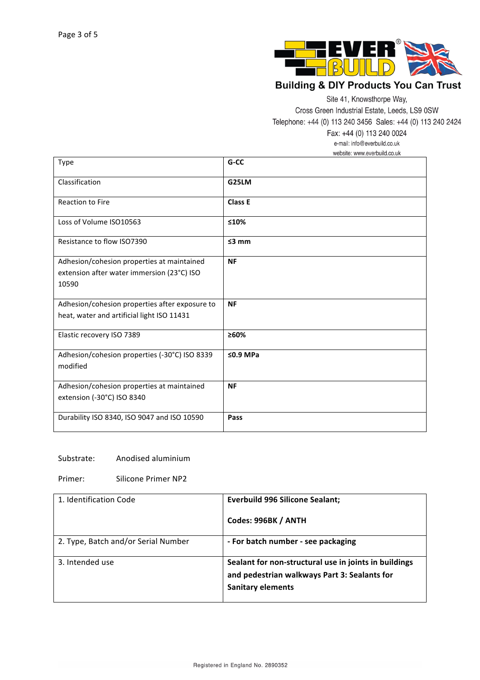

Site 41, Knowsthorpe Way,

Cross Green Industrial Estate, Leeds, LS9 0SW

Telephone: +44 (0) 113 240 3456 Sales: +44 (0) 113 240 2424

Fax: +44 (0) 113 240 0024

e-mail: info@everbuild.co.uk

website: www.everbuild.co.uk

| <b>Type</b>                                    | G-CC       |
|------------------------------------------------|------------|
| Classification                                 | G25LM      |
| <b>Reaction to Fire</b>                        | Class E    |
| Loss of Volume ISO10563                        | ≤10%       |
| Resistance to flow ISO7390                     | $≤3$ mm    |
| Adhesion/cohesion properties at maintained     | <b>NF</b>  |
| extension after water immersion (23°C) ISO     |            |
| 10590                                          |            |
| Adhesion/cohesion properties after exposure to | <b>NF</b>  |
| heat, water and artificial light ISO 11431     |            |
| Elastic recovery ISO 7389                      | ≥60%       |
| Adhesion/cohesion properties (-30°C) ISO 8339  | $50.9$ MPa |
| modified                                       |            |
| Adhesion/cohesion properties at maintained     | <b>NF</b>  |
| extension (-30°C) ISO 8340                     |            |
| Durability ISO 8340, ISO 9047 and ISO 10590    | Pass       |

#### Substrate: Anodised aluminium

Primer: Silicone Primer NP2

| 1. Identification Code              | <b>Everbuild 996 Silicone Sealant;</b>                                                                                            |
|-------------------------------------|-----------------------------------------------------------------------------------------------------------------------------------|
|                                     | Codes: 996BK / ANTH                                                                                                               |
| 2. Type, Batch and/or Serial Number | - For batch number - see packaging                                                                                                |
| 3. Intended use                     | Sealant for non-structural use in joints in buildings<br>and pedestrian walkways Part 3: Sealants for<br><b>Sanitary elements</b> |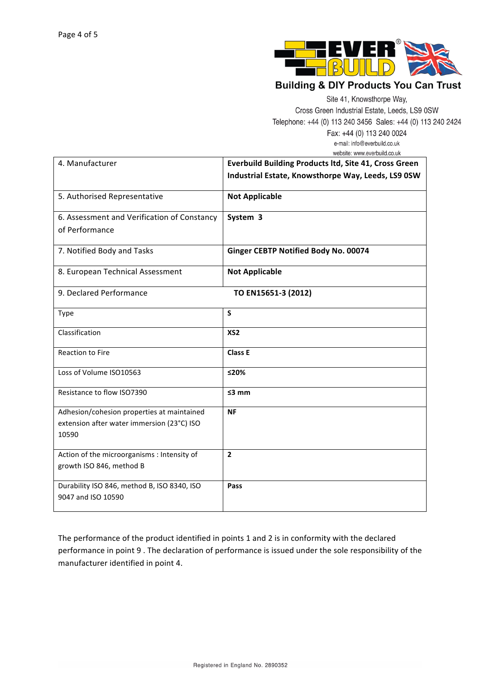

Site 41, Knowsthorpe Way,

Cross Green Industrial Estate, Leeds, LS9 0SW

Telephone: +44 (0) 113 240 3456 Sales: +44 (0) 113 240 2424

Fax: +44 (0) 113 240 0024 e-mail: info@everbuild.co.uk website: www.everbuild.co.uk

| 4. Manufacturer                                                                                   | Everbuild Building Products ltd, Site 41, Cross Green<br>Industrial Estate, Knowsthorpe Way, Leeds, LS9 0SW |
|---------------------------------------------------------------------------------------------------|-------------------------------------------------------------------------------------------------------------|
| 5. Authorised Representative                                                                      | <b>Not Applicable</b>                                                                                       |
| 6. Assessment and Verification of Constancy<br>of Performance                                     | System 3                                                                                                    |
| 7. Notified Body and Tasks                                                                        | Ginger CEBTP Notified Body No. 00074                                                                        |
| 8. European Technical Assessment                                                                  | <b>Not Applicable</b>                                                                                       |
| 9. Declared Performance                                                                           | TO EN15651-3 (2012)                                                                                         |
| Type                                                                                              | S                                                                                                           |
| Classification                                                                                    | XS <sub>2</sub>                                                                                             |
| <b>Reaction to Fire</b>                                                                           | <b>Class E</b>                                                                                              |
| Loss of Volume ISO10563                                                                           | ≤20%                                                                                                        |
| Resistance to flow ISO7390                                                                        | $≤3$ mm                                                                                                     |
| Adhesion/cohesion properties at maintained<br>extension after water immersion (23°C) ISO<br>10590 | <b>NF</b>                                                                                                   |
| Action of the microorganisms : Intensity of<br>growth ISO 846, method B                           | $\overline{2}$                                                                                              |
| Durability ISO 846, method B, ISO 8340, ISO<br>9047 and ISO 10590                                 | Pass                                                                                                        |

The performance of the product identified in points 1 and 2 is in conformity with the declared performance in point 9 . The declaration of performance is issued under the sole responsibility of the manufacturer identified in point 4.